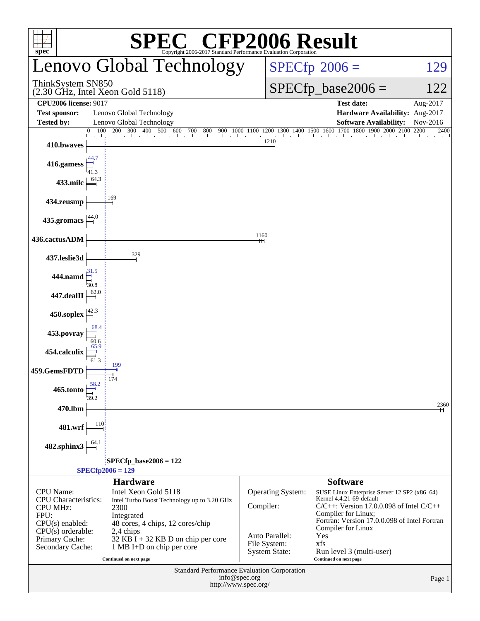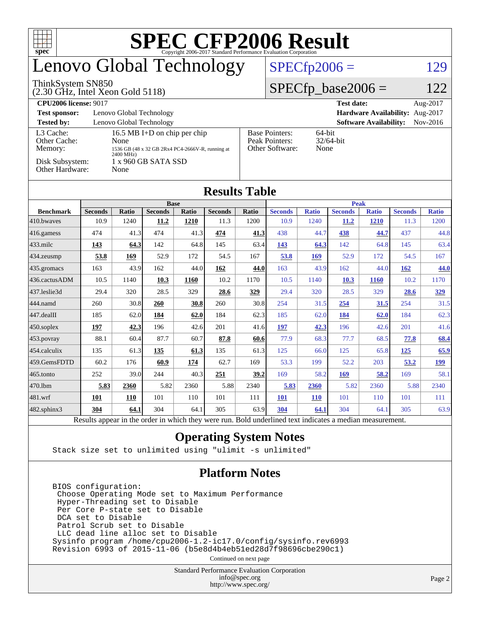| <b>SPEC CFP2006 Result</b><br>ŦП<br>$spec^{\circ}$                                         |                                                  |              |                |       |                             |                               |                                                                |                         |                |              |                |              |  |  |
|--------------------------------------------------------------------------------------------|--------------------------------------------------|--------------|----------------|-------|-----------------------------|-------------------------------|----------------------------------------------------------------|-------------------------|----------------|--------------|----------------|--------------|--|--|
| Lenovo Global Technology                                                                   |                                                  |              |                |       | $SPECfp2006 =$<br>129       |                               |                                                                |                         |                |              |                |              |  |  |
| ThinkSystem SN850<br>$(2.30 \text{ GHz}, \text{Intel Xeon Gold } 5118)$                    |                                                  |              |                |       | $SPECfp\_base2006 =$<br>122 |                               |                                                                |                         |                |              |                |              |  |  |
| <b>CPU2006 license: 9017</b>                                                               |                                                  |              |                |       |                             | <b>Test date:</b><br>Aug-2017 |                                                                |                         |                |              |                |              |  |  |
| Lenovo Global Technology<br>Hardware Availability: Aug-2017<br><b>Test sponsor:</b>        |                                                  |              |                |       |                             |                               |                                                                |                         |                |              |                |              |  |  |
| <b>Tested by:</b><br>Lenovo Global Technology<br><b>Software Availability:</b><br>Nov-2016 |                                                  |              |                |       |                             |                               |                                                                |                         |                |              |                |              |  |  |
| L <sub>3</sub> Cache:<br>16.5 MB I+D on chip per chip<br>Other Cache:<br>None              |                                                  |              |                |       |                             |                               | 64-bit<br><b>Base Pointers:</b><br>Peak Pointers:<br>32/64-bit |                         |                |              |                |              |  |  |
| Memory:                                                                                    | 1536 GB (48 x 32 GB 2Rx4 PC4-2666V-R, running at |              |                |       |                             |                               |                                                                | Other Software:<br>None |                |              |                |              |  |  |
| 2400 MHz)<br>Disk Subsystem:<br>1 x 960 GB SATA SSD                                        |                                                  |              |                |       |                             |                               |                                                                |                         |                |              |                |              |  |  |
| Other Hardware:<br>None                                                                    |                                                  |              |                |       |                             |                               |                                                                |                         |                |              |                |              |  |  |
|                                                                                            |                                                  |              |                |       |                             |                               |                                                                |                         |                |              |                |              |  |  |
| <b>Results Table</b>                                                                       |                                                  |              |                |       |                             |                               |                                                                |                         |                |              |                |              |  |  |
| <b>Base</b>                                                                                |                                                  |              |                |       |                             |                               | <b>Peak</b>                                                    |                         |                |              |                |              |  |  |
| <b>Benchmark</b>                                                                           | <b>Seconds</b>                                   | <b>Ratio</b> | <b>Seconds</b> | Ratio | <b>Seconds</b>              | Ratio                         | <b>Seconds</b>                                                 | <b>Ratio</b>            | <b>Seconds</b> | <b>Ratio</b> | <b>Seconds</b> | <b>Ratio</b> |  |  |
| 410.bwayes                                                                                 | 10.9                                             | 1240         | 11.2           | 1210  | 11.3                        | 1200                          | 10.9                                                           | 1240                    | 11.2           | 1210         | 11.3           | 1200         |  |  |
| 416.gamess                                                                                 | 474                                              | 41.3         | 474            | 41.3  | 474                         | 41.3                          | 438                                                            | 44.7                    | 438            | 44.7         | 437            | 44.8         |  |  |
| $433$ .milc                                                                                | 143                                              | 64.3         | 142            | 64.8  | 145                         | 63.4                          | 143                                                            | 64.3                    | 142            | 64.8         | 145            | 63.4         |  |  |
| 434.zeusmp                                                                                 | 53.8                                             | 169          | 52.9           | 172   | 54.5                        | 167                           | 53.8                                                           | 169                     | 52.9           | 172          | 54.5           | 167          |  |  |
| 435.gromacs                                                                                | 163                                              | 43.9         | 162            | 44.0  | 162                         | 44.0                          | 163                                                            | 43.9                    | 162            | 44.0         | 162            | 44.0         |  |  |
| 436.cactusADM                                                                              | 10.5                                             | 1140         | 10.3           | 1160  | 10.2                        | 1170                          | 10.5                                                           | 1140                    | 10.3           | 1160         | 10.2           | 1170         |  |  |
| 437.leslie3d                                                                               | 29.4                                             | 320          | 28.5           | 329   | 28.6                        | 329                           | 29.4                                                           | 320                     | 28.5           | 329          | 28.6           | 329          |  |  |
| 444.namd                                                                                   | 260                                              | 30.8         | 260            | 30.8  | 260                         | 30.8                          | 254                                                            | 31.5                    | 254            | 31.5         | 254            | 31.5         |  |  |
| 447.dealII                                                                                 | 185                                              | 62.0         | 184            | 62.0  | 184                         | 62.3                          | 185                                                            | 62.0                    | 184            | 62.0         | 184            | 62.3         |  |  |
| 450.soplex                                                                                 | 197                                              | 42.3         | 196            | 42.6  | 201                         | 41.6                          | 197                                                            | 42.3                    | 196            | 42.6         | 201            | 41.6         |  |  |
| 453.povray                                                                                 | 88.1                                             | 60.4         | 87.7           | 60.7  | 87.8                        | 60.6                          | 77.9                                                           | 68.3                    | 77.7           | 68.5         | 77.8           | 68.4         |  |  |
| 454.calculix                                                                               | 135                                              | 61.3         | 135            | 61.3  | 135                         | 61.3                          | 125                                                            | 66.0                    | 125            | 65.8         | 125            | 65.9         |  |  |
| 459.GemsFDTD                                                                               | 60.2                                             | 176          | 60.9           | 174   | 62.7                        | 169                           | 53.3                                                           | 199                     | 52.2           | 203          | 53.2           | <u>199</u>   |  |  |
| 465.tonto                                                                                  | 252                                              | 39.0         | 244            | 40.3  | 251                         | 39.2                          | 169                                                            | 58.2                    | 169            | 58.2         | 169            | 58.1         |  |  |
| 470.1bm                                                                                    | 5.83                                             | 2360         | 5.82           | 2360  | 5.88                        | 2340                          | 5.83                                                           | 2360                    | 5.82           | 2360         | 5.88           | 2340         |  |  |
| 481.wrf                                                                                    | 101                                              | 110          | 101            | 110   | 101                         | 111                           | <b>101</b>                                                     | 110                     | 101            | 110          | 101            | 111          |  |  |
| $482$ .sphinx $3$                                                                          | 304                                              | 64.1         | 304            | 64.1  | 305                         | 63.9                          | 304                                                            | 64.1                    | 304            | 64.1         | 305            | 63.9         |  |  |

Results appear in the [order in which they were run.](http://www.spec.org/auto/cpu2006/Docs/result-fields.html#RunOrder) Bold underlined text [indicates a median measurement.](http://www.spec.org/auto/cpu2006/Docs/result-fields.html#Median)

#### **[Operating System Notes](http://www.spec.org/auto/cpu2006/Docs/result-fields.html#OperatingSystemNotes)**

Stack size set to unlimited using "ulimit -s unlimited"

### **[Platform Notes](http://www.spec.org/auto/cpu2006/Docs/result-fields.html#PlatformNotes)**

 BIOS configuration: Choose Operating Mode set to Maximum Performance Hyper-Threading set to Disable Per Core P-state set to Disable DCA set to Disable Patrol Scrub set to Disable LLC dead line alloc set to Disable Sysinfo program /home/cpu2006-1.2-ic17.0/config/sysinfo.rev6993 Revision 6993 of 2015-11-06 (b5e8d4b4eb51ed28d7f98696cbe290c1)

Continued on next page

Standard Performance Evaluation Corporation [info@spec.org](mailto:info@spec.org) <http://www.spec.org/>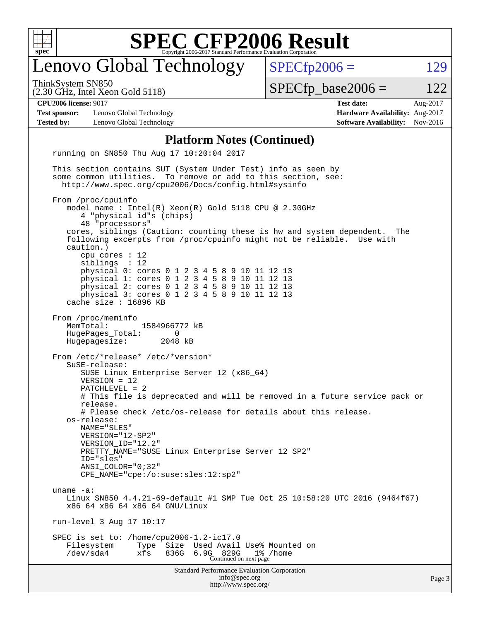

### enovo Global Technology

ThinkSystem SN850

(2.30 GHz, Intel Xeon Gold 5118)

 $SPECTp2006 = 129$ 

 $SPECTp\_base2006 = 122$ 

**[Test sponsor:](http://www.spec.org/auto/cpu2006/Docs/result-fields.html#Testsponsor)** Lenovo Global Technology **[Hardware Availability:](http://www.spec.org/auto/cpu2006/Docs/result-fields.html#HardwareAvailability)** Aug-2017 **[Tested by:](http://www.spec.org/auto/cpu2006/Docs/result-fields.html#Testedby)** Lenovo Global Technology **[Software Availability:](http://www.spec.org/auto/cpu2006/Docs/result-fields.html#SoftwareAvailability)** Nov-2016

**[CPU2006 license:](http://www.spec.org/auto/cpu2006/Docs/result-fields.html#CPU2006license)** 9017 **[Test date:](http://www.spec.org/auto/cpu2006/Docs/result-fields.html#Testdate)** Aug-2017

#### **[Platform Notes \(Continued\)](http://www.spec.org/auto/cpu2006/Docs/result-fields.html#PlatformNotes)**

Standard Performance Evaluation Corporation [info@spec.org](mailto:info@spec.org) running on SN850 Thu Aug 17 10:20:04 2017 This section contains SUT (System Under Test) info as seen by some common utilities. To remove or add to this section, see: <http://www.spec.org/cpu2006/Docs/config.html#sysinfo> From /proc/cpuinfo model name : Intel(R) Xeon(R) Gold 5118 CPU @ 2.30GHz 4 "physical id"s (chips) 48 "processors" cores, siblings (Caution: counting these is hw and system dependent. The following excerpts from /proc/cpuinfo might not be reliable. Use with caution.) cpu cores : 12<br>siblings : 12 siblings physical 0: cores 0 1 2 3 4 5 8 9 10 11 12 13 physical 1: cores 0 1 2 3 4 5 8 9 10 11 12 13 physical 2: cores 0 1 2 3 4 5 8 9 10 11 12 13 physical 3: cores 0 1 2 3 4 5 8 9 10 11 12 13 cache size : 16896 KB From /proc/meminfo MemTotal: 1584966772 kB HugePages\_Total: 0 Hugepagesize: 2048 kB From /etc/\*release\* /etc/\*version\* SuSE-release: SUSE Linux Enterprise Server 12 (x86\_64) VERSION = 12 PATCHLEVEL = 2 # This file is deprecated and will be removed in a future service pack or release. # Please check /etc/os-release for details about this release. os-release: NAME="SLES" VERSION="12-SP2" VERSION\_ID="12.2" PRETTY\_NAME="SUSE Linux Enterprise Server 12 SP2" ID="sles" ANSI\_COLOR="0;32" CPE\_NAME="cpe:/o:suse:sles:12:sp2" uname -a: Linux SN850 4.4.21-69-default #1 SMP Tue Oct 25 10:58:20 UTC 2016 (9464f67) x86\_64 x86\_64 x86\_64 GNU/Linux run-level 3 Aug 17 10:17 SPEC is set to: /home/cpu2006-1.2-ic17.0 Filesystem Type Size Used Avail Use% Mounted on /dev/sda4 xfs 836G 6.9G 829G 1% /home Continued on next page

<http://www.spec.org/>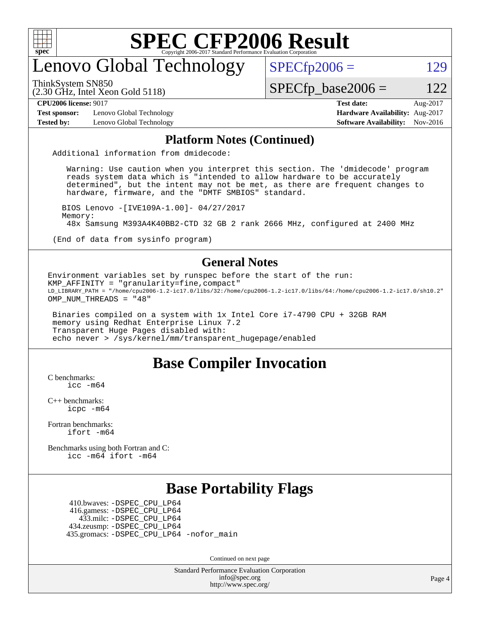

### enovo Global Technology

ThinkSystem SN850

(2.30 GHz, Intel Xeon Gold 5118)

 $SPECTp\_base2006 = 122$ 

 $SPECTp2006 = 129$ 

**[Test sponsor:](http://www.spec.org/auto/cpu2006/Docs/result-fields.html#Testsponsor)** Lenovo Global Technology **[Hardware Availability:](http://www.spec.org/auto/cpu2006/Docs/result-fields.html#HardwareAvailability)** Aug-2017 **[Tested by:](http://www.spec.org/auto/cpu2006/Docs/result-fields.html#Testedby)** Lenovo Global Technology **[Software Availability:](http://www.spec.org/auto/cpu2006/Docs/result-fields.html#SoftwareAvailability)** Nov-2016

**[CPU2006 license:](http://www.spec.org/auto/cpu2006/Docs/result-fields.html#CPU2006license)** 9017 **[Test date:](http://www.spec.org/auto/cpu2006/Docs/result-fields.html#Testdate)** Aug-2017

#### **[Platform Notes \(Continued\)](http://www.spec.org/auto/cpu2006/Docs/result-fields.html#PlatformNotes)**

Additional information from dmidecode:

 Warning: Use caution when you interpret this section. The 'dmidecode' program reads system data which is "intended to allow hardware to be accurately determined", but the intent may not be met, as there are frequent changes to hardware, firmware, and the "DMTF SMBIOS" standard.

 BIOS Lenovo -[IVE109A-1.00]- 04/27/2017 Memory: 48x Samsung M393A4K40BB2-CTD 32 GB 2 rank 2666 MHz, configured at 2400 MHz

(End of data from sysinfo program)

#### **[General Notes](http://www.spec.org/auto/cpu2006/Docs/result-fields.html#GeneralNotes)**

Environment variables set by runspec before the start of the run: KMP AFFINITY = "granularity=fine, compact" LD\_LIBRARY\_PATH = "/home/cpu2006-1.2-ic17.0/libs/32:/home/cpu2006-1.2-ic17.0/libs/64:/home/cpu2006-1.2-ic17.0/sh10.2" OMP NUM THREADS = "48"

 Binaries compiled on a system with 1x Intel Core i7-4790 CPU + 32GB RAM memory using Redhat Enterprise Linux 7.2 Transparent Huge Pages disabled with: echo never > /sys/kernel/mm/transparent\_hugepage/enabled

### **[Base Compiler Invocation](http://www.spec.org/auto/cpu2006/Docs/result-fields.html#BaseCompilerInvocation)**

[C benchmarks](http://www.spec.org/auto/cpu2006/Docs/result-fields.html#Cbenchmarks): [icc -m64](http://www.spec.org/cpu2006/results/res2017q4/cpu2006-20170918-49994.flags.html#user_CCbase_intel_icc_64bit_bda6cc9af1fdbb0edc3795bac97ada53)

[C++ benchmarks:](http://www.spec.org/auto/cpu2006/Docs/result-fields.html#CXXbenchmarks) [icpc -m64](http://www.spec.org/cpu2006/results/res2017q4/cpu2006-20170918-49994.flags.html#user_CXXbase_intel_icpc_64bit_fc66a5337ce925472a5c54ad6a0de310)

[Fortran benchmarks](http://www.spec.org/auto/cpu2006/Docs/result-fields.html#Fortranbenchmarks): [ifort -m64](http://www.spec.org/cpu2006/results/res2017q4/cpu2006-20170918-49994.flags.html#user_FCbase_intel_ifort_64bit_ee9d0fb25645d0210d97eb0527dcc06e)

[Benchmarks using both Fortran and C](http://www.spec.org/auto/cpu2006/Docs/result-fields.html#BenchmarksusingbothFortranandC): [icc -m64](http://www.spec.org/cpu2006/results/res2017q4/cpu2006-20170918-49994.flags.html#user_CC_FCbase_intel_icc_64bit_bda6cc9af1fdbb0edc3795bac97ada53) [ifort -m64](http://www.spec.org/cpu2006/results/res2017q4/cpu2006-20170918-49994.flags.html#user_CC_FCbase_intel_ifort_64bit_ee9d0fb25645d0210d97eb0527dcc06e)

### **[Base Portability Flags](http://www.spec.org/auto/cpu2006/Docs/result-fields.html#BasePortabilityFlags)**

 410.bwaves: [-DSPEC\\_CPU\\_LP64](http://www.spec.org/cpu2006/results/res2017q4/cpu2006-20170918-49994.flags.html#suite_basePORTABILITY410_bwaves_DSPEC_CPU_LP64) 416.gamess: [-DSPEC\\_CPU\\_LP64](http://www.spec.org/cpu2006/results/res2017q4/cpu2006-20170918-49994.flags.html#suite_basePORTABILITY416_gamess_DSPEC_CPU_LP64) 433.milc: [-DSPEC\\_CPU\\_LP64](http://www.spec.org/cpu2006/results/res2017q4/cpu2006-20170918-49994.flags.html#suite_basePORTABILITY433_milc_DSPEC_CPU_LP64) 434.zeusmp: [-DSPEC\\_CPU\\_LP64](http://www.spec.org/cpu2006/results/res2017q4/cpu2006-20170918-49994.flags.html#suite_basePORTABILITY434_zeusmp_DSPEC_CPU_LP64) 435.gromacs: [-DSPEC\\_CPU\\_LP64](http://www.spec.org/cpu2006/results/res2017q4/cpu2006-20170918-49994.flags.html#suite_basePORTABILITY435_gromacs_DSPEC_CPU_LP64) [-nofor\\_main](http://www.spec.org/cpu2006/results/res2017q4/cpu2006-20170918-49994.flags.html#user_baseLDPORTABILITY435_gromacs_f-nofor_main)

Continued on next page

Standard Performance Evaluation Corporation [info@spec.org](mailto:info@spec.org) <http://www.spec.org/>

Page 4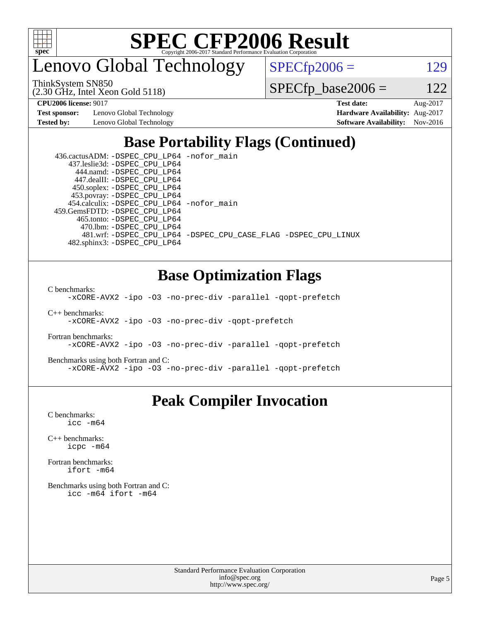

enovo Global Technology

ThinkSystem SN850

(2.30 GHz, Intel Xeon Gold 5118)

 $SPECfp2006 = 129$  $SPECfp2006 = 129$ 

 $SPECfp\_base2006 = 122$ 

**[Test sponsor:](http://www.spec.org/auto/cpu2006/Docs/result-fields.html#Testsponsor)** Lenovo Global Technology **[Hardware Availability:](http://www.spec.org/auto/cpu2006/Docs/result-fields.html#HardwareAvailability)** Aug-2017

**[CPU2006 license:](http://www.spec.org/auto/cpu2006/Docs/result-fields.html#CPU2006license)** 9017 **[Test date:](http://www.spec.org/auto/cpu2006/Docs/result-fields.html#Testdate)** Aug-2017 **[Tested by:](http://www.spec.org/auto/cpu2006/Docs/result-fields.html#Testedby)** Lenovo Global Technology **[Software Availability:](http://www.spec.org/auto/cpu2006/Docs/result-fields.html#SoftwareAvailability)** Nov-2016

### **[Base Portability Flags \(Continued\)](http://www.spec.org/auto/cpu2006/Docs/result-fields.html#BasePortabilityFlags)**

| 436.cactusADM: -DSPEC_CPU_LP64 -nofor main  |                                                                |
|---------------------------------------------|----------------------------------------------------------------|
| 437.leslie3d: -DSPEC_CPU_LP64               |                                                                |
| 444.namd: -DSPEC CPU LP64                   |                                                                |
| 447.dealII: -DSPEC CPU LP64                 |                                                                |
| 450.soplex: -DSPEC_CPU_LP64                 |                                                                |
| 453.povray: -DSPEC_CPU_LP64                 |                                                                |
| 454.calculix: - DSPEC CPU LP64 - nofor main |                                                                |
| 459.GemsFDTD: - DSPEC_CPU_LP64              |                                                                |
| 465.tonto: -DSPEC CPU LP64                  |                                                                |
| 470.1bm: - DSPEC CPU LP64                   |                                                                |
|                                             | 481.wrf: -DSPEC CPU_LP64 -DSPEC_CPU_CASE_FLAG -DSPEC_CPU_LINUX |
| 482.sphinx3: -DSPEC CPU LP64                |                                                                |

### **[Base Optimization Flags](http://www.spec.org/auto/cpu2006/Docs/result-fields.html#BaseOptimizationFlags)**

[C benchmarks](http://www.spec.org/auto/cpu2006/Docs/result-fields.html#Cbenchmarks):

[-xCORE-AVX2](http://www.spec.org/cpu2006/results/res2017q4/cpu2006-20170918-49994.flags.html#user_CCbase_f-xCORE-AVX2) [-ipo](http://www.spec.org/cpu2006/results/res2017q4/cpu2006-20170918-49994.flags.html#user_CCbase_f-ipo) [-O3](http://www.spec.org/cpu2006/results/res2017q4/cpu2006-20170918-49994.flags.html#user_CCbase_f-O3) [-no-prec-div](http://www.spec.org/cpu2006/results/res2017q4/cpu2006-20170918-49994.flags.html#user_CCbase_f-no-prec-div) [-parallel](http://www.spec.org/cpu2006/results/res2017q4/cpu2006-20170918-49994.flags.html#user_CCbase_f-parallel) [-qopt-prefetch](http://www.spec.org/cpu2006/results/res2017q4/cpu2006-20170918-49994.flags.html#user_CCbase_f-qopt-prefetch)

[C++ benchmarks:](http://www.spec.org/auto/cpu2006/Docs/result-fields.html#CXXbenchmarks) [-xCORE-AVX2](http://www.spec.org/cpu2006/results/res2017q4/cpu2006-20170918-49994.flags.html#user_CXXbase_f-xCORE-AVX2) [-ipo](http://www.spec.org/cpu2006/results/res2017q4/cpu2006-20170918-49994.flags.html#user_CXXbase_f-ipo) [-O3](http://www.spec.org/cpu2006/results/res2017q4/cpu2006-20170918-49994.flags.html#user_CXXbase_f-O3) [-no-prec-div](http://www.spec.org/cpu2006/results/res2017q4/cpu2006-20170918-49994.flags.html#user_CXXbase_f-no-prec-div) [-qopt-prefetch](http://www.spec.org/cpu2006/results/res2017q4/cpu2006-20170918-49994.flags.html#user_CXXbase_f-qopt-prefetch)

[Fortran benchmarks](http://www.spec.org/auto/cpu2006/Docs/result-fields.html#Fortranbenchmarks): [-xCORE-AVX2](http://www.spec.org/cpu2006/results/res2017q4/cpu2006-20170918-49994.flags.html#user_FCbase_f-xCORE-AVX2) [-ipo](http://www.spec.org/cpu2006/results/res2017q4/cpu2006-20170918-49994.flags.html#user_FCbase_f-ipo) [-O3](http://www.spec.org/cpu2006/results/res2017q4/cpu2006-20170918-49994.flags.html#user_FCbase_f-O3) [-no-prec-div](http://www.spec.org/cpu2006/results/res2017q4/cpu2006-20170918-49994.flags.html#user_FCbase_f-no-prec-div) [-parallel](http://www.spec.org/cpu2006/results/res2017q4/cpu2006-20170918-49994.flags.html#user_FCbase_f-parallel) [-qopt-prefetch](http://www.spec.org/cpu2006/results/res2017q4/cpu2006-20170918-49994.flags.html#user_FCbase_f-qopt-prefetch)

[Benchmarks using both Fortran and C](http://www.spec.org/auto/cpu2006/Docs/result-fields.html#BenchmarksusingbothFortranandC): [-xCORE-AVX2](http://www.spec.org/cpu2006/results/res2017q4/cpu2006-20170918-49994.flags.html#user_CC_FCbase_f-xCORE-AVX2) [-ipo](http://www.spec.org/cpu2006/results/res2017q4/cpu2006-20170918-49994.flags.html#user_CC_FCbase_f-ipo) [-O3](http://www.spec.org/cpu2006/results/res2017q4/cpu2006-20170918-49994.flags.html#user_CC_FCbase_f-O3) [-no-prec-div](http://www.spec.org/cpu2006/results/res2017q4/cpu2006-20170918-49994.flags.html#user_CC_FCbase_f-no-prec-div) [-parallel](http://www.spec.org/cpu2006/results/res2017q4/cpu2006-20170918-49994.flags.html#user_CC_FCbase_f-parallel) [-qopt-prefetch](http://www.spec.org/cpu2006/results/res2017q4/cpu2006-20170918-49994.flags.html#user_CC_FCbase_f-qopt-prefetch)

### **[Peak Compiler Invocation](http://www.spec.org/auto/cpu2006/Docs/result-fields.html#PeakCompilerInvocation)**

[C benchmarks](http://www.spec.org/auto/cpu2006/Docs/result-fields.html#Cbenchmarks): [icc -m64](http://www.spec.org/cpu2006/results/res2017q4/cpu2006-20170918-49994.flags.html#user_CCpeak_intel_icc_64bit_bda6cc9af1fdbb0edc3795bac97ada53)

[C++ benchmarks:](http://www.spec.org/auto/cpu2006/Docs/result-fields.html#CXXbenchmarks) [icpc -m64](http://www.spec.org/cpu2006/results/res2017q4/cpu2006-20170918-49994.flags.html#user_CXXpeak_intel_icpc_64bit_fc66a5337ce925472a5c54ad6a0de310)

[Fortran benchmarks](http://www.spec.org/auto/cpu2006/Docs/result-fields.html#Fortranbenchmarks): [ifort -m64](http://www.spec.org/cpu2006/results/res2017q4/cpu2006-20170918-49994.flags.html#user_FCpeak_intel_ifort_64bit_ee9d0fb25645d0210d97eb0527dcc06e)

[Benchmarks using both Fortran and C](http://www.spec.org/auto/cpu2006/Docs/result-fields.html#BenchmarksusingbothFortranandC): [icc -m64](http://www.spec.org/cpu2006/results/res2017q4/cpu2006-20170918-49994.flags.html#user_CC_FCpeak_intel_icc_64bit_bda6cc9af1fdbb0edc3795bac97ada53) [ifort -m64](http://www.spec.org/cpu2006/results/res2017q4/cpu2006-20170918-49994.flags.html#user_CC_FCpeak_intel_ifort_64bit_ee9d0fb25645d0210d97eb0527dcc06e)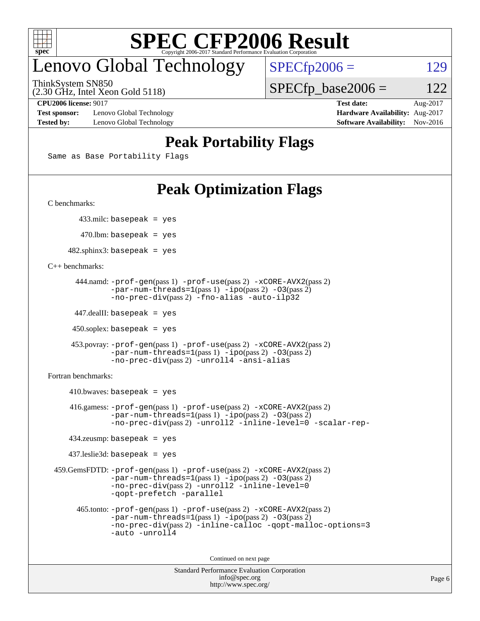

### enovo Global Technology

ThinkSystem SN850

(2.30 GHz, Intel Xeon Gold 5118)

 $SPECTp\_base2006 = 122$ 

 $SPECfp2006 = 129$  $SPECfp2006 = 129$ 

**[Test sponsor:](http://www.spec.org/auto/cpu2006/Docs/result-fields.html#Testsponsor)** Lenovo Global Technology **[Hardware Availability:](http://www.spec.org/auto/cpu2006/Docs/result-fields.html#HardwareAvailability)** Aug-2017 **[Tested by:](http://www.spec.org/auto/cpu2006/Docs/result-fields.html#Testedby)** Lenovo Global Technology **[Software Availability:](http://www.spec.org/auto/cpu2006/Docs/result-fields.html#SoftwareAvailability)** Nov-2016

**[CPU2006 license:](http://www.spec.org/auto/cpu2006/Docs/result-fields.html#CPU2006license)** 9017 **[Test date:](http://www.spec.org/auto/cpu2006/Docs/result-fields.html#Testdate)** Aug-2017

### **[Peak Portability Flags](http://www.spec.org/auto/cpu2006/Docs/result-fields.html#PeakPortabilityFlags)**

Same as Base Portability Flags

### **[Peak Optimization Flags](http://www.spec.org/auto/cpu2006/Docs/result-fields.html#PeakOptimizationFlags)**

[C benchmarks](http://www.spec.org/auto/cpu2006/Docs/result-fields.html#Cbenchmarks):

433.milc: basepeak = yes

 $470.$ lbm: basepeak = yes

 $482$ .sphinx3: basepeak = yes

[C++ benchmarks:](http://www.spec.org/auto/cpu2006/Docs/result-fields.html#CXXbenchmarks)

```
 444.namd: -prof-gen(pass 1) -prof-use(pass 2) -xCORE-AVX2(pass 2)
       -par-num-threads=1(pass 1) -ipo(pass 2) -O3(pass 2)
       -no-prec-div(pass 2) -fno-alias -auto-ilp32
```
447.dealII: basepeak = yes

 $450$ .soplex: basepeak = yes

```
 453.povray: -prof-gen(pass 1) -prof-use(pass 2) -xCORE-AVX2(pass 2)
        -par-num-threads=1-ipo-O3(pass 2)-no-prec-div(pass 2) -unroll4 -ansi-alias
```
[Fortran benchmarks](http://www.spec.org/auto/cpu2006/Docs/result-fields.html#Fortranbenchmarks):

```
410.bwaves: basepeak = yes 416.gamess: -prof-gen(pass 1) -prof-use(pass 2) -xCORE-AVX2(pass 2)
           -par-num-threads=1-ipo-O3(pass 2)-no-prec-div(pass 2) -unroll2 -inline-level=0 -scalar-rep-
   434.zeusmp: basepeak = yes
   437.leslie3d: basepeak = yes
459.GemsFDTD: -prof-gen(pass 1) -prof-use(pass 2) -xCORE-AVX2(pass 2)
           -par-num-threads=1-ipo-O3(pass 2)-no-prec-div(pass 2) -unroll2 -inline-level=0
           -qopt-prefetch -parallel
     465.tonto: -prof-gen(pass 1) -prof-use(pass 2) -xCORE-AVX2(pass 2)
           -par-num-threads=1(pass 1) -ipo(pass 2) -O3(pass 2)
           -no-prec-div-inline-calloc-qopt-malloc-options=3
           -auto -unroll4
```
Continued on next page

```
Standard Performance Evaluation Corporation
            info@spec.org
          http://www.spec.org/
```